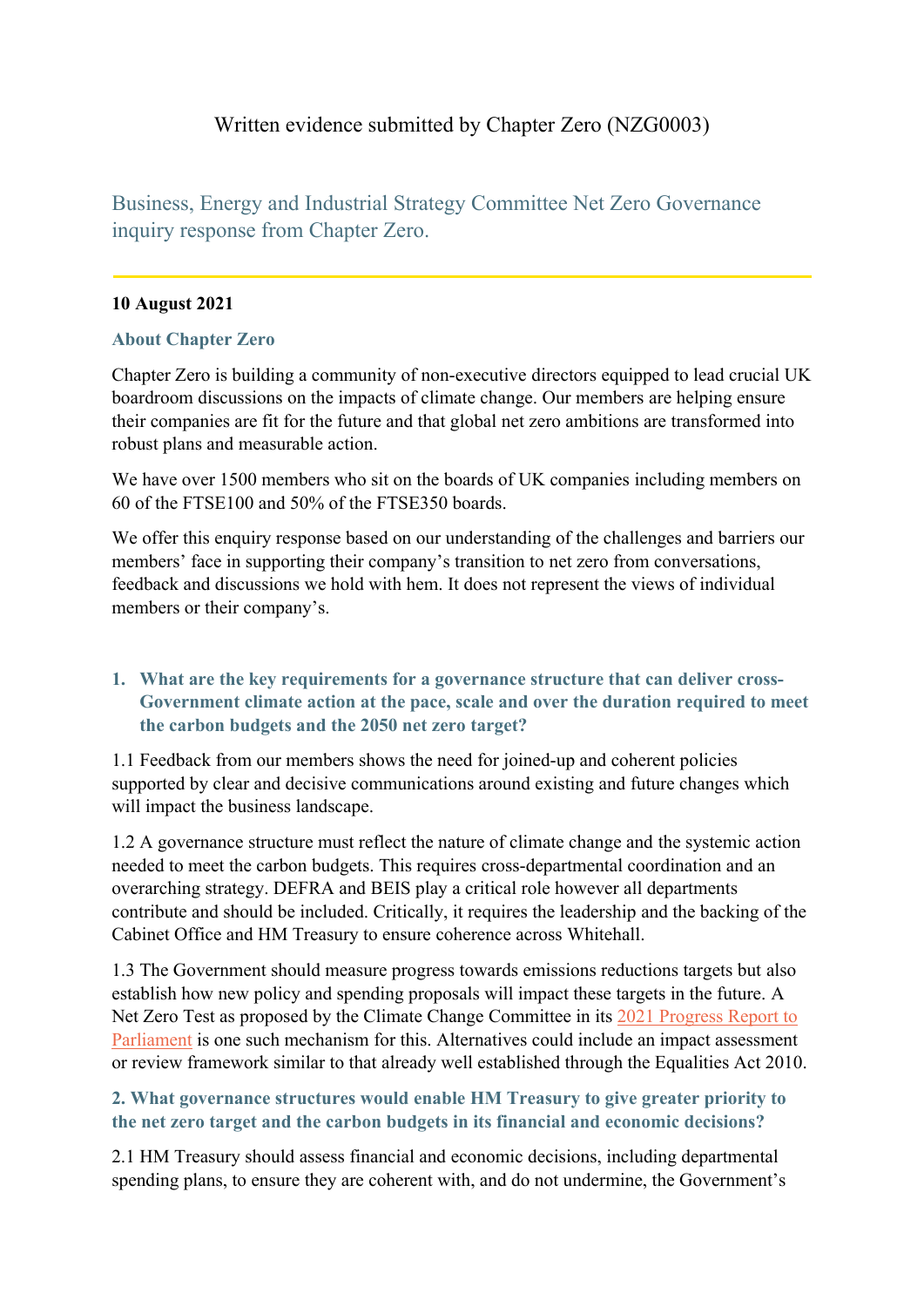# Written evidence submitted by Chapter Zero (NZG0003)

Business, Energy and Industrial Strategy Committee Net Zero Governance inquiry response from Chapter Zero.

## **10 August 2021**

#### **About Chapter Zero**

Chapter Zero is building a community of non-executive directors equipped to lead crucial UK boardroom discussions on the impacts of climate change. Our members are helping ensure their companies are fit for the future and that global net zero ambitions are transformed into robust plans and measurable action.

We have over 1500 members who sit on the boards of UK companies including members on 60 of the FTSE100 and 50% of the FTSE350 boards.

We offer this enquiry response based on our understanding of the challenges and barriers our members' face in supporting their company's transition to net zero from conversations, feedback and discussions we hold with hem. It does not represent the views of individual members or their company's.

## **1. What are the key requirements for a governance structure that can deliver cross-Government climate action at the pace, scale and over the duration required to meet the carbon budgets and the 2050 net zero target?**

1.1 Feedback from our members shows the need for joined-up and coherent policies supported by clear and decisive communications around existing and future changes which will impact the business landscape.

1.2 A governance structure must reflect the nature of climate change and the systemic action needed to meet the carbon budgets. This requires cross-departmental coordination and an overarching strategy. DEFRA and BEIS play a critical role however all departments contribute and should be included. Critically, it requires the leadership and the backing of the Cabinet Office and HM Treasury to ensure coherence across Whitehall.

1.3 The Government should measure progress towards emissions reductions targets but also establish how new policy and spending proposals will impact these targets in the future. A Net Zero Test as proposed by the Climate Change Committee in its [2021](https://www.theccc.org.uk/publication/2021-progress-report-to-parliament/) [Progress](https://www.theccc.org.uk/publication/2021-progress-report-to-parliament/) [Report](https://www.theccc.org.uk/publication/2021-progress-report-to-parliament/) [to](https://www.theccc.org.uk/publication/2021-progress-report-to-parliament/) [Parliament](https://www.theccc.org.uk/publication/2021-progress-report-to-parliament/) is one such mechanism for this. Alternatives could include an impact assessment or review framework similar to that already well established through the Equalities Act 2010.

# **2. What governance structures would enable HM Treasury to give greater priority to the net zero target and the carbon budgets in its financial and economic decisions?**

2.1 HM Treasury should assess financial and economic decisions, including departmental spending plans, to ensure they are coherent with, and do not undermine, the Government's